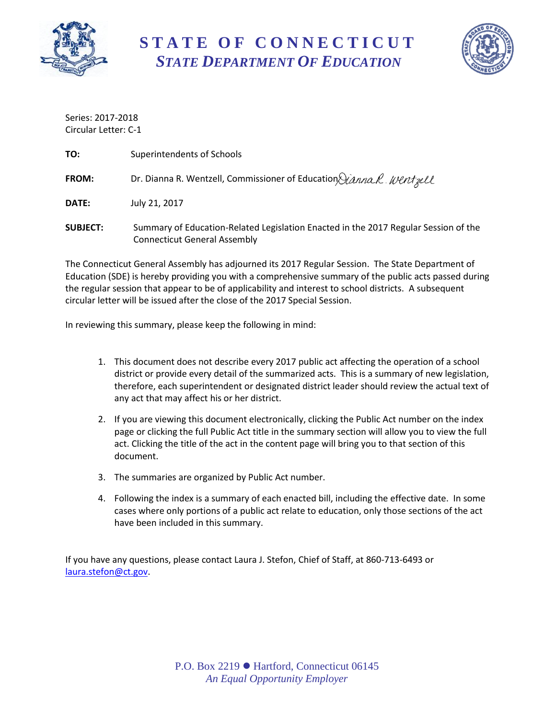

**S T A T E O F C O N N E C T I C U T** *STATE DEPARTMENT OF EDUCATION*



Series: 2017-2018 Circular Letter: C-1

| TO:             | Superintendents of Schools                                                                                                 |
|-----------------|----------------------------------------------------------------------------------------------------------------------------|
| <b>FROM:</b>    | Dr. Dianna R. Wentzell, Commissioner of Education Jianna R. Wentzell                                                       |
| DATE:           | July 21, 2017                                                                                                              |
| <b>SUBJECT:</b> | Summary of Education-Related Legislation Enacted in the 2017 Regular Session of the<br><b>Connecticut General Assembly</b> |

The Connecticut General Assembly has adjourned its 2017 Regular Session. The State Department of Education (SDE) is hereby providing you with a comprehensive summary of the public acts passed during the regular session that appear to be of applicability and interest to school districts. A subsequent circular letter will be issued after the close of the 2017 Special Session.

In reviewing this summary, please keep the following in mind:

- 1. This document does not describe every 2017 public act affecting the operation of a school district or provide every detail of the summarized acts. This is a summary of new legislation, therefore, each superintendent or designated district leader should review the actual text of any act that may affect his or her district.
- 2. If you are viewing this document electronically, clicking the Public Act number on the index page or clicking the full Public Act title in the summary section will allow you to view the full act. Clicking the title of the act in the content page will bring you to that section of this document.
- 3. The summaries are organized by Public Act number.
- 4. Following the index is a summary of each enacted bill, including the effective date. In some cases where only portions of a public act relate to education, only those sections of the act have been included in this summary.

If you have any questions, please contact Laura J. Stefon, Chief of Staff, at 860-713-6493 or [laura.stefon@ct.gov.](mailto:laura.stefon@ct.gov)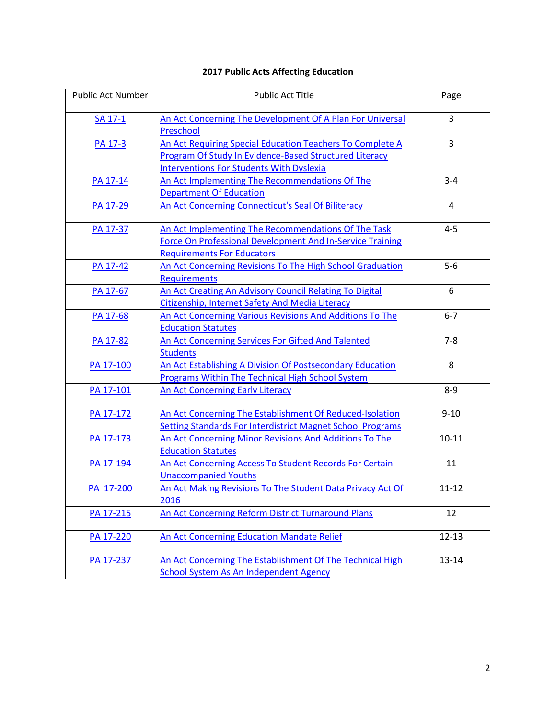# **2017 Public Acts Affecting Education**

| <b>Public Act Number</b> | <b>Public Act Title</b>                                                                                                                                                | Page      |
|--------------------------|------------------------------------------------------------------------------------------------------------------------------------------------------------------------|-----------|
| SA 17-1                  | An Act Concerning The Development Of A Plan For Universal<br>Preschool                                                                                                 | 3         |
| PA 17-3                  | An Act Requiring Special Education Teachers To Complete A<br>Program Of Study In Evidence-Based Structured Literacy<br><b>Interventions For Students With Dyslexia</b> | 3         |
| PA 17-14                 | An Act Implementing The Recommendations Of The<br><b>Department Of Education</b>                                                                                       | $3 - 4$   |
| PA 17-29                 | An Act Concerning Connecticut's Seal Of Biliteracy                                                                                                                     | 4         |
| PA 17-37                 | An Act Implementing The Recommendations Of The Task<br><b>Force On Professional Development And In-Service Training</b><br><b>Requirements For Educators</b>           | $4 - 5$   |
| PA 17-42                 | An Act Concerning Revisions To The High School Graduation<br><b>Requirements</b>                                                                                       | $5-6$     |
| PA 17-67                 | An Act Creating An Advisory Council Relating To Digital<br>Citizenship, Internet Safety And Media Literacy                                                             | 6         |
| PA 17-68                 | An Act Concerning Various Revisions And Additions To The<br><b>Education Statutes</b>                                                                                  | $6 - 7$   |
| PA 17-82                 | An Act Concerning Services For Gifted And Talented<br><b>Students</b>                                                                                                  | $7 - 8$   |
| PA 17-100                | An Act Establishing A Division Of Postsecondary Education<br><b>Programs Within The Technical High School System</b>                                                   | 8         |
| PA 17-101                | <b>An Act Concerning Early Literacy</b>                                                                                                                                | $8 - 9$   |
| PA 17-172                | An Act Concerning The Establishment Of Reduced-Isolation<br>Setting Standards For Interdistrict Magnet School Programs                                                 | $9 - 10$  |
| PA 17-173                | An Act Concerning Minor Revisions And Additions To The<br><b>Education Statutes</b>                                                                                    | $10 - 11$ |
| PA 17-194                | An Act Concerning Access To Student Records For Certain<br><b>Unaccompanied Youths</b>                                                                                 | 11        |
| PA 17-200                | An Act Making Revisions To The Student Data Privacy Act Of<br>2016                                                                                                     | $11 - 12$ |
| PA 17-215                | An Act Concerning Reform District Turnaround Plans                                                                                                                     | 12        |
| PA 17-220                | An Act Concerning Education Mandate Relief                                                                                                                             | $12 - 13$ |
| PA 17-237                | An Act Concerning The Establishment Of The Technical High<br>School System As An Independent Agency                                                                    | 13-14     |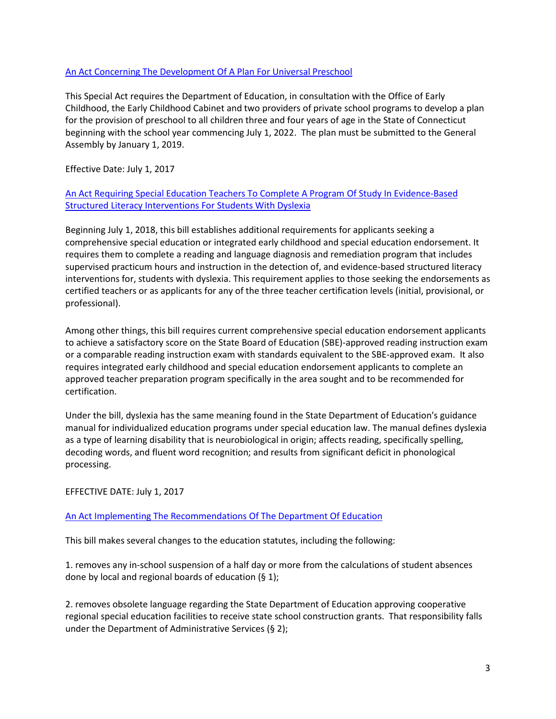### <span id="page-2-0"></span>[An Act Concerning The Development Of A Plan For Universal Preschool](https://www.cga.ct.gov/2017/ACT/sa/pdf/2017SA-00001-R00SB-00954-SA.pdf)

This Special Act requires the Department of Education, in consultation with the Office of Early Childhood, the Early Childhood Cabinet and two providers of private school programs to develop a plan for the provision of preschool to all children three and four years of age in the State of Connecticut beginning with the school year commencing July 1, 2022. The plan must be submitted to the General Assembly by January 1, 2019.

Effective Date: July 1, 2017

# [An Act Requiring Special Education Teachers To Complete A Program](https://www.cga.ct.gov/2017/ACT/pa/pdf/2017PA-00003-R00HB-07254-PA.pdf) Of Study In Evidence-Based [Structured Literacy Interventions For Students With Dyslexia](https://www.cga.ct.gov/2017/ACT/pa/pdf/2017PA-00003-R00HB-07254-PA.pdf)

Beginning July 1, 2018, this bill establishes additional requirements for applicants seeking a comprehensive special education or integrated early childhood and special education endorsement. It requires them to complete a reading and language diagnosis and remediation program that includes supervised practicum hours and instruction in the detection of, and evidence-based structured literacy interventions for, students with dyslexia. This requirement applies to those seeking the endorsements as certified teachers or as applicants for any of the three teacher certification levels (initial, provisional, or professional).

Among other things, this bill requires current comprehensive special education endorsement applicants to achieve a satisfactory score on the State Board of Education (SBE)-approved reading instruction exam or a comparable reading instruction exam with standards equivalent to the SBE-approved exam. It also requires integrated early childhood and special education endorsement applicants to complete an approved teacher preparation program specifically in the area sought and to be recommended for certification.

Under the bill, dyslexia has the same meaning found in the State Department of Education's guidance manual for individualized education programs under special education law. The manual defines dyslexia as a type of learning disability that is neurobiological in origin; affects reading, specifically spelling, decoding words, and fluent word recognition; and results from significant deficit in phonological processing.

EFFECTIVE DATE: July 1, 2017

# <span id="page-2-1"></span>[An Act Implementing The Recommendations Of The Department Of Education](https://www.cga.ct.gov/2017/ACT/pa/pdf/2017PA-00014-R00SB-00910-PA.pdf)

This bill makes several changes to the education statutes, including the following:

1. removes any in-school suspension of a half day or more from the calculations of student absences done by local and regional boards of education (§ 1);

2. removes obsolete language regarding the State Department of Education approving cooperative regional special education facilities to receive state school construction grants. That responsibility falls under the Department of Administrative Services (§ 2);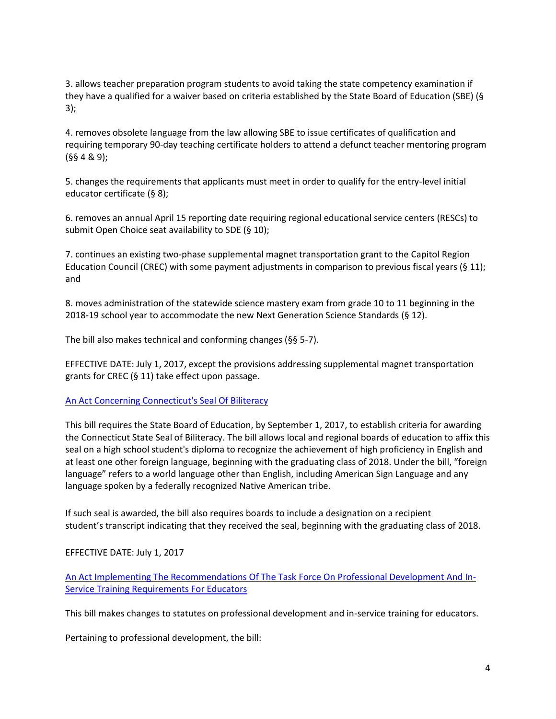3. allows teacher preparation program students to avoid taking the state competency examination if they have a qualified for a waiver based on criteria established by the State Board of Education (SBE) (§ 3);

4. removes obsolete language from the law allowing SBE to issue certificates of qualification and requiring temporary 90-day teaching certificate holders to attend a defunct teacher mentoring program (§§ 4 & 9);

5. changes the requirements that applicants must meet in order to qualify for the entry-level initial educator certificate (§ 8);

6. removes an annual April 15 reporting date requiring regional educational service centers (RESCs) to submit Open Choice seat availability to SDE (§ 10);

7. continues an existing two-phase supplemental magnet transportation grant to the Capitol Region Education Council (CREC) with some payment adjustments in comparison to previous fiscal years (§ 11); and

8. moves administration of the statewide science mastery exam from grade 10 to 11 beginning in the 2018-19 school year to accommodate the new Next Generation Science Standards (§ 12).

The bill also makes technical and conforming changes (§§ 5-7).

EFFECTIVE DATE: July 1, 2017, except the provisions addressing supplemental magnet transportation grants for CREC (§ 11) take effect upon passage.

# <span id="page-3-0"></span>[An Act Concerning Connecticut's Seal Of Biliteracy](https://www.cga.ct.gov/2017/ACT/pa/pdf/2017PA-00029-R00HB-07159-PA.pdf)

This bill requires the State Board of Education, by September 1, 2017, to establish criteria for awarding the Connecticut State Seal of Biliteracy. The bill allows local and regional boards of education to affix this seal on a high school student's diploma to recognize the achievement of high proficiency in English and at least one other foreign language, beginning with the graduating class of 2018. Under the bill, "foreign language" refers to a world language other than English, including American Sign Language and any language spoken by a federally recognized Native American tribe.

If such seal is awarded, the bill also requires boards to include a designation on a recipient student's transcript indicating that they received the seal, beginning with the graduating class of 2018.

### EFFECTIVE DATE: July 1, 2017

[An Act Implementing The Recommendations Of The Task Force On Professional Development And In-](https://www.cga.ct.gov/2017/ACT/pa/pdf/2017PA-00037-R00SB-00953-PA.pdf)[Service Training Requirements For Educators](https://www.cga.ct.gov/2017/ACT/pa/pdf/2017PA-00037-R00SB-00953-PA.pdf)

<span id="page-3-1"></span>This bill makes changes to statutes on professional development and in-service training for educators.

Pertaining to professional development, the bill: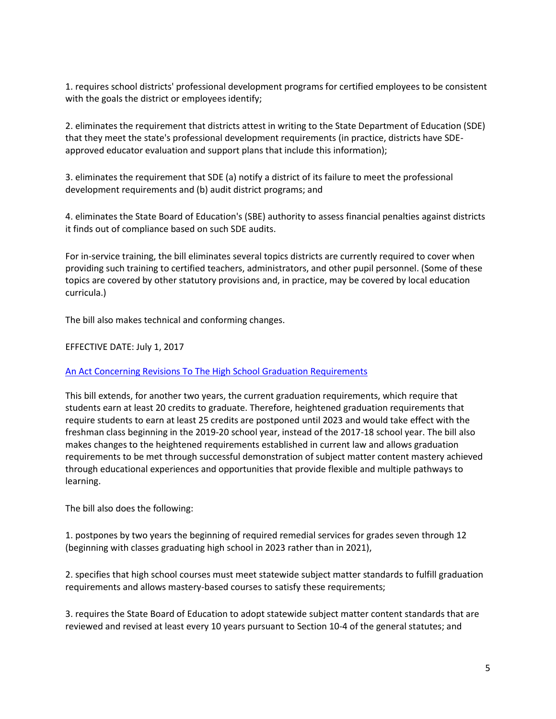1. requires school districts' professional development programs for certified employees to be consistent with the goals the district or employees identify;

2. eliminates the requirement that districts attest in writing to the State Department of Education (SDE) that they meet the state's professional development requirements (in practice, districts have SDEapproved educator evaluation and support plans that include this information);

3. eliminates the requirement that SDE (a) notify a district of its failure to meet the professional development requirements and (b) audit district programs; and

4. eliminates the State Board of Education's (SBE) authority to assess financial penalties against districts it finds out of compliance based on such SDE audits.

For in-service training, the bill eliminates several topics districts are currently required to cover when providing such training to certified teachers, administrators, and other pupil personnel. (Some of these topics are covered by other statutory provisions and, in practice, may be covered by local education curricula.)

The bill also makes technical and conforming changes.

### EFFECTIVE DATE: July 1, 2017

#### <span id="page-4-0"></span>[An Act Concerning Revisions To The High School Graduation Requirements](https://www.cga.ct.gov/2017/ACT/pa/pdf/2017PA-00042-R00SB-01026-PA.pdf)

This bill extends, for another two years, the current graduation requirements, which require that students earn at least 20 credits to graduate. Therefore, heightened graduation requirements that require students to earn at least 25 credits are postponed until 2023 and would take effect with the freshman class beginning in the 2019-20 school year, instead of the 2017-18 school year. The bill also makes changes to the heightened requirements established in current law and allows graduation requirements to be met through successful demonstration of subject matter content mastery achieved through educational experiences and opportunities that provide flexible and multiple pathways to learning.

The bill also does the following:

1. postpones by two years the beginning of required remedial services for grades seven through 12 (beginning with classes graduating high school in 2023 rather than in 2021),

2. specifies that high school courses must meet statewide subject matter standards to fulfill graduation requirements and allows mastery-based courses to satisfy these requirements;

3. requires the State Board of Education to adopt statewide subject matter content standards that are reviewed and revised at least every 10 years pursuant to Section 10-4 of the general statutes; and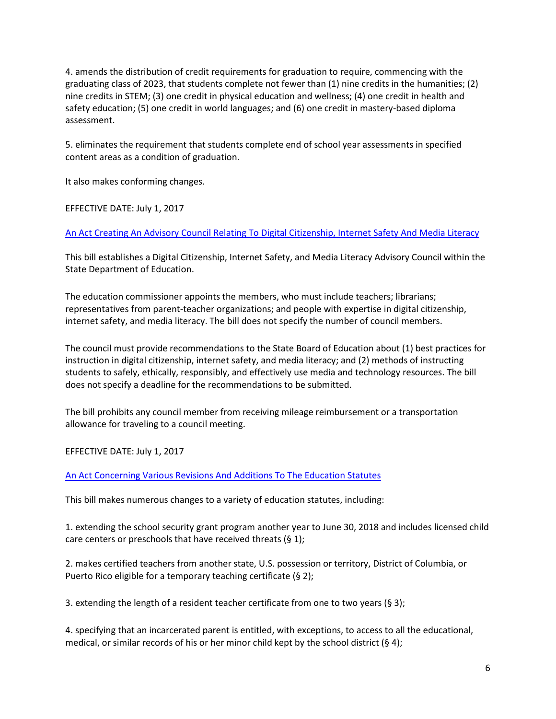4. amends the distribution of credit requirements for graduation to require, commencing with the graduating class of 2023, that students complete not fewer than (1) nine credits in the humanities; (2) nine credits in STEM; (3) one credit in physical education and wellness; (4) one credit in health and safety education; (5) one credit in world languages; and (6) one credit in mastery-based diploma assessment.

5. eliminates the requirement that students complete end of school year assessments in specified content areas as a condition of graduation.

It also makes conforming changes.

EFFECTIVE DATE: July 1, 2017

<span id="page-5-0"></span>[An Act Creating An Advisory Council Relating To Digital Citizenship, Internet Safety And Media Literacy](https://www.cga.ct.gov/2017/ACT/pa/pdf/2017PA-00067-R00SB-00949-PA.pdf)

This bill establishes a Digital Citizenship, Internet Safety, and Media Literacy Advisory Council within the State Department of Education.

The education commissioner appoints the members, who must include teachers; librarians; representatives from parent-teacher organizations; and people with expertise in digital citizenship, internet safety, and media literacy. The bill does not specify the number of council members.

The council must provide recommendations to the State Board of Education about (1) best practices for instruction in digital citizenship, internet safety, and media literacy; and (2) methods of instructing students to safely, ethically, responsibly, and effectively use media and technology resources. The bill does not specify a deadline for the recommendations to be submitted.

The bill prohibits any council member from receiving mileage reimbursement or a transportation allowance for traveling to a council meeting.

EFFECTIVE DATE: July 1, 2017

<span id="page-5-1"></span>[An Act Concerning Various Revisions And Additions To The Education Statutes](https://www.cga.ct.gov/2017/ACT/pa/pdf/2017PA-00068-R00SB-01014-PA.pdf)

This bill makes numerous changes to a variety of education statutes, including:

1. extending the school security grant program another year to June 30, 2018 and includes licensed child care centers or preschools that have received threats (§ 1);

2. makes certified teachers from another state, U.S. possession or territory, District of Columbia, or Puerto Rico eligible for a temporary teaching certificate (§ 2);

3. extending the length of a resident teacher certificate from one to two years (§ 3);

4. specifying that an incarcerated parent is entitled, with exceptions, to access to all the educational, medical, or similar records of his or her minor child kept by the school district (§ 4);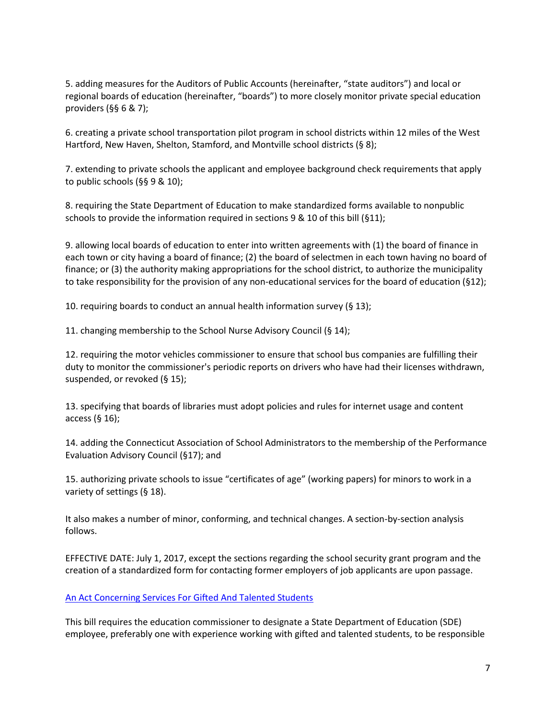5. adding measures for the Auditors of Public Accounts (hereinafter, "state auditors") and local or regional boards of education (hereinafter, "boards") to more closely monitor private special education providers (§§ 6 & 7);

6. creating a private school transportation pilot program in school districts within 12 miles of the West Hartford, New Haven, Shelton, Stamford, and Montville school districts (§ 8);

7. extending to private schools the applicant and employee background check requirements that apply to public schools (§§ 9 & 10);

8. requiring the State Department of Education to make standardized forms available to nonpublic schools to provide the information required in sections 9 & 10 of this bill (§11);

9. allowing local boards of education to enter into written agreements with (1) the board of finance in each town or city having a board of finance; (2) the board of selectmen in each town having no board of finance; or (3) the authority making appropriations for the school district, to authorize the municipality to take responsibility for the provision of any non-educational services for the board of education (§12);

10. requiring boards to conduct an annual health information survey (§ 13);

11. changing membership to the School Nurse Advisory Council (§ 14);

12. requiring the motor vehicles commissioner to ensure that school bus companies are fulfilling their duty to monitor the commissioner's periodic reports on drivers who have had their licenses withdrawn, suspended, or revoked (§ 15);

13. specifying that boards of libraries must adopt policies and rules for internet usage and content access (§ 16);

14. adding the Connecticut Association of School Administrators to the membership of the Performance Evaluation Advisory Council (§17); and

15. authorizing private schools to issue "certificates of age" (working papers) for minors to work in a variety of settings (§ 18).

It also makes a number of minor, conforming, and technical changes. A section-by-section analysis follows.

EFFECTIVE DATE: July 1, 2017, except the sections regarding the school security grant program and the creation of a standardized form for contacting former employers of job applicants are upon passage.

<span id="page-6-0"></span>[An Act Concerning Services For Gifted And Talented Students](https://www.cga.ct.gov/2017/ACT/pa/pdf/2017PA-00082-R00SB-00911-PA.pdf)

This bill requires the education commissioner to designate a State Department of Education (SDE) employee, preferably one with experience working with gifted and talented students, to be responsible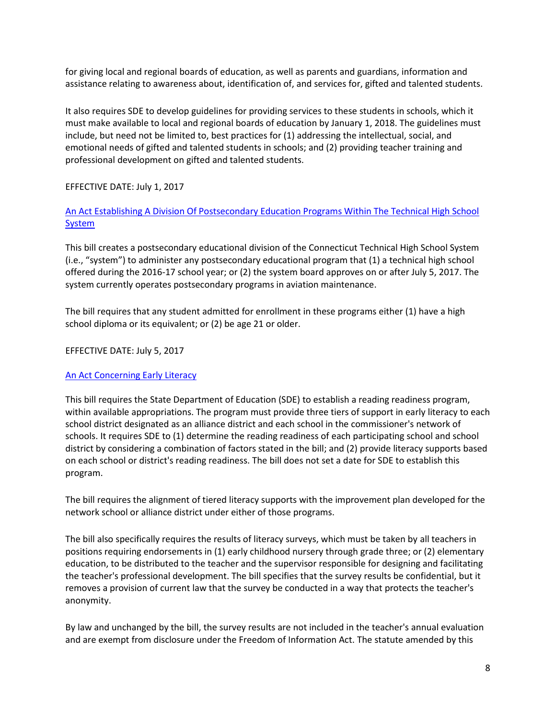for giving local and regional boards of education, as well as parents and guardians, information and assistance relating to awareness about, identification of, and services for, gifted and talented students.

It also requires SDE to develop guidelines for providing services to these students in schools, which it must make available to local and regional boards of education by January 1, 2018. The guidelines must include, but need not be limited to, best practices for (1) addressing the intellectual, social, and emotional needs of gifted and talented students in schools; and (2) providing teacher training and professional development on gifted and talented students.

# EFFECTIVE DATE: July 1, 2017

[An Act Establishing A Division Of Postsecondary Education Programs Within The Technical High School](https://www.cga.ct.gov/2017/ACT/pa/pdf/2017PA-00100-R00HB-07202-PA.pdf)  **[System](https://www.cga.ct.gov/2017/ACT/pa/pdf/2017PA-00100-R00HB-07202-PA.pdf)** 

<span id="page-7-0"></span>This bill creates a postsecondary educational division of the Connecticut Technical High School System (i.e., "system") to administer any postsecondary educational program that (1) a technical high school offered during the 2016-17 school year; or (2) the system board approves on or after July 5, 2017. The system currently operates postsecondary programs in aviation maintenance.

The bill requires that any student admitted for enrollment in these programs either (1) have a high school diploma or its equivalent; or (2) be age 21 or older.

### EFFECTIVE DATE: July 5, 2017

#### <span id="page-7-1"></span>[An Act Concerning Early Literacy](https://www.cga.ct.gov/2017/ACT/pa/pdf/2017PA-00101-R00HB-07205-PA.pdf)

This bill requires the State Department of Education (SDE) to establish a reading readiness program, within available appropriations. The program must provide three tiers of support in early literacy to each school district designated as an alliance district and each school in the commissioner's network of schools. It requires SDE to (1) determine the reading readiness of each participating school and school district by considering a combination of factors stated in the bill; and (2) provide literacy supports based on each school or district's reading readiness. The bill does not set a date for SDE to establish this program.

The bill requires the alignment of tiered literacy supports with the improvement plan developed for the network school or alliance district under either of those programs.

The bill also specifically requires the results of literacy surveys, which must be taken by all teachers in positions requiring endorsements in (1) early childhood nursery through grade three; or (2) elementary education, to be distributed to the teacher and the supervisor responsible for designing and facilitating the teacher's professional development. The bill specifies that the survey results be confidential, but it removes a provision of current law that the survey be conducted in a way that protects the teacher's anonymity.

By law and unchanged by the bill, the survey results are not included in the teacher's annual evaluation and are exempt from disclosure under the Freedom of Information Act. The statute amended by this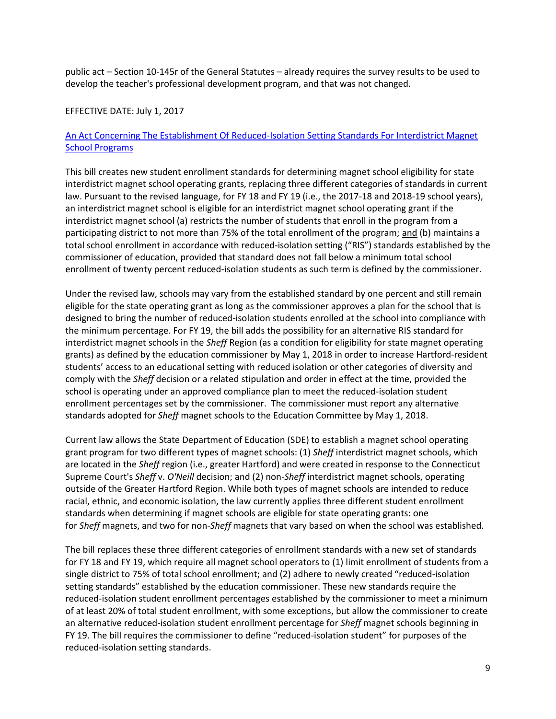public act – Section 10-145r of the General Statutes – already requires the survey results to be used to develop the teacher's professional development program, and that was not changed.

### EFFECTIVE DATE: July 1, 2017

# [An Act Concerning The Establishment Of Reduced-Isolation Setting Standards For Interdistrict Magnet](https://www.cga.ct.gov/2017/ACT/pa/pdf/2017PA-00172-R00HB-07201-PA.pdf)  [School Programs](https://www.cga.ct.gov/2017/ACT/pa/pdf/2017PA-00172-R00HB-07201-PA.pdf)

<span id="page-8-0"></span>This bill creates new student enrollment standards for determining magnet school eligibility for state interdistrict magnet school operating grants, replacing three different categories of standards in current law. Pursuant to the revised language, for FY 18 and FY 19 (i.e., the 2017-18 and 2018-19 school years), an interdistrict magnet school is eligible for an interdistrict magnet school operating grant if the interdistrict magnet school (a) restricts the number of students that enroll in the program from a participating district to not more than 75% of the total enrollment of the program; and (b) maintains a total school enrollment in accordance with reduced-isolation setting ("RIS") standards established by the commissioner of education, provided that standard does not fall below a minimum total school enrollment of twenty percent reduced-isolation students as such term is defined by the commissioner.

Under the revised law, schools may vary from the established standard by one percent and still remain eligible for the state operating grant as long as the commissioner approves a plan for the school that is designed to bring the number of reduced-isolation students enrolled at the school into compliance with the minimum percentage. For FY 19, the bill adds the possibility for an alternative RIS standard for interdistrict magnet schools in the *Sheff* Region (as a condition for eligibility for state magnet operating grants) as defined by the education commissioner by May 1, 2018 in order to increase Hartford-resident students' access to an educational setting with reduced isolation or other categories of diversity and comply with the *Sheff* decision or a related stipulation and order in effect at the time, provided the school is operating under an approved compliance plan to meet the reduced-isolation student enrollment percentages set by the commissioner. The commissioner must report any alternative standards adopted for *Sheff* magnet schools to the Education Committee by May 1, 2018.

Current law allows the State Department of Education (SDE) to establish a magnet school operating grant program for two different types of magnet schools: (1) *Sheff* interdistrict magnet schools, which are located in the *Sheff* region (i.e., greater Hartford) and were created in response to the Connecticut Supreme Court's *Sheff* v. *O'Neill* decision; and (2) non-*Sheff* interdistrict magnet schools, operating outside of the Greater Hartford Region. While both types of magnet schools are intended to reduce racial, ethnic, and economic isolation, the law currently applies three different student enrollment standards when determining if magnet schools are eligible for state operating grants: one for *Sheff* magnets, and two for non-*Sheff* magnets that vary based on when the school was established.

The bill replaces these three different categories of enrollment standards with a new set of standards for FY 18 and FY 19, which require all magnet school operators to (1) limit enrollment of students from a single district to 75% of total school enrollment; and (2) adhere to newly created "reduced-isolation setting standards" established by the education commissioner. These new standards require the reduced-isolation student enrollment percentages established by the commissioner to meet a minimum of at least 20% of total student enrollment, with some exceptions, but allow the commissioner to create an alternative reduced-isolation student enrollment percentage for *Sheff* magnet schools beginning in FY 19. The bill requires the commissioner to define "reduced-isolation student" for purposes of the reduced-isolation setting standards.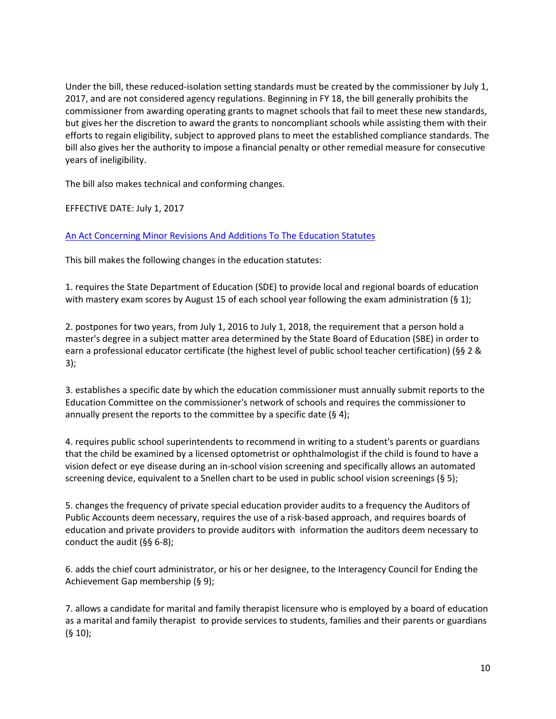Under the bill, these reduced-isolation setting standards must be created by the commissioner by July 1, 2017, and are not considered agency regulations. Beginning in FY 18, the bill generally prohibits the commissioner from awarding operating grants to magnet schools that fail to meet these new standards, but gives her the discretion to award the grants to noncompliant schools while assisting them with their efforts to regain eligibility, subject to approved plans to meet the established compliance standards. The bill also gives her the authority to impose a financial penalty or other remedial measure for consecutive years of ineligibility.

The bill also makes technical and conforming changes.

EFFECTIVE DATE: July 1, 2017

# <span id="page-9-0"></span>[An Act Concerning Minor Revisions And Additions To The Education Statutes](https://www.cga.ct.gov/2017/ACT/pa/pdf/2017PA-00173-R00HB-07253-PA.pdf)

This bill makes the following changes in the education statutes:

1. requires the State Department of Education (SDE) to provide local and regional boards of education with mastery exam scores by August 15 of each school year following the exam administration (§ 1);

2. postpones for two years, from July 1, 2016 to July 1, 2018, the requirement that a person hold a master's degree in a subject matter area determined by the State Board of Education (SBE) in order to earn a professional educator certificate (the highest level of public school teacher certification) (§§ 2 & 3);

3. establishes a specific date by which the education commissioner must annually submit reports to the Education Committee on the commissioner's network of schools and requires the commissioner to annually present the reports to the committee by a specific date (§ 4);

4. requires public school superintendents to recommend in writing to a student's parents or guardians that the child be examined by a licensed optometrist or ophthalmologist if the child is found to have a vision defect or eye disease during an in-school vision screening and specifically allows an automated screening device, equivalent to a Snellen chart to be used in public school vision screenings (§ 5);

5. changes the frequency of private special education provider audits to a frequency the Auditors of Public Accounts deem necessary, requires the use of a risk-based approach, and requires boards of education and private providers to provide auditors with information the auditors deem necessary to conduct the audit (§§ 6-8);

6. adds the chief court administrator, or his or her designee, to the Interagency Council for Ending the Achievement Gap membership (§ 9);

7. allows a candidate for marital and family therapist licensure who is employed by a board of education as a marital and family therapist to provide services to students, families and their parents or guardians (§ 10);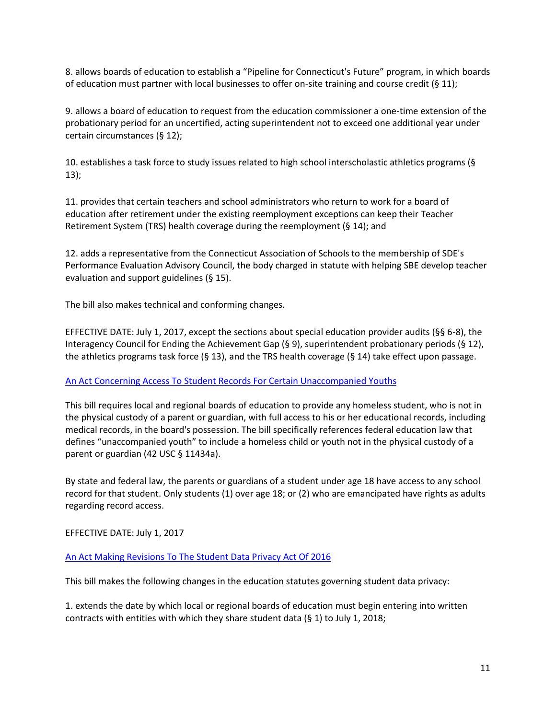8. allows boards of education to establish a "Pipeline for Connecticut's Future" program, in which boards of education must partner with local businesses to offer on-site training and course credit (§ 11);

9. allows a board of education to request from the education commissioner a one-time extension of the probationary period for an uncertified, acting superintendent not to exceed one additional year under certain circumstances (§ 12);

10. establishes a task force to study issues related to high school interscholastic athletics programs (§ 13);

11. provides that certain teachers and school administrators who return to work for a board of education after retirement under the existing reemployment exceptions can keep their Teacher Retirement System (TRS) health coverage during the reemployment (§ 14); and

12. adds a representative from the Connecticut Association of Schools to the membership of SDE's Performance Evaluation Advisory Council, the body charged in statute with helping SBE develop teacher evaluation and support guidelines (§ 15).

The bill also makes technical and conforming changes.

EFFECTIVE DATE: July 1, 2017, except the sections about special education provider audits (§§ 6-8), the Interagency Council for Ending the Achievement Gap (§ 9), superintendent probationary periods (§ 12), the athletics programs task force (§ 13), and the TRS health coverage (§ 14) take effect upon passage.

### <span id="page-10-0"></span>[An Act Concerning Access To Student Records For Certain Unaccompanied Youths](https://www.cga.ct.gov/2017/ACT/pa/pdf/2017PA-00194-R00HB-07156-PA.pdf)

This bill requires local and regional boards of education to provide any homeless student, who is not in the physical custody of a parent or guardian, with full access to his or her educational records, including medical records, in the board's possession. The bill specifically references federal education law that defines "unaccompanied youth" to include a homeless child or youth not in the physical custody of a parent or guardian (42 USC § 11434a).

By state and federal law, the parents or guardians of a student under age 18 have access to any school record for that student. Only students (1) over age 18; or (2) who are emancipated have rights as adults regarding record access.

EFFECTIVE DATE: July 1, 2017

### <span id="page-10-1"></span>[An Act Making Revisions To The Student Data Privacy Act Of 2016](https://www.cga.ct.gov/2017/ACT/pa/pdf/2017PA-00200-R00HB-07207-PA.pdf)

This bill makes the following changes in the education statutes governing student data privacy:

1. extends the date by which local or regional boards of education must begin entering into written contracts with entities with which they share student data (§ 1) to July 1, 2018;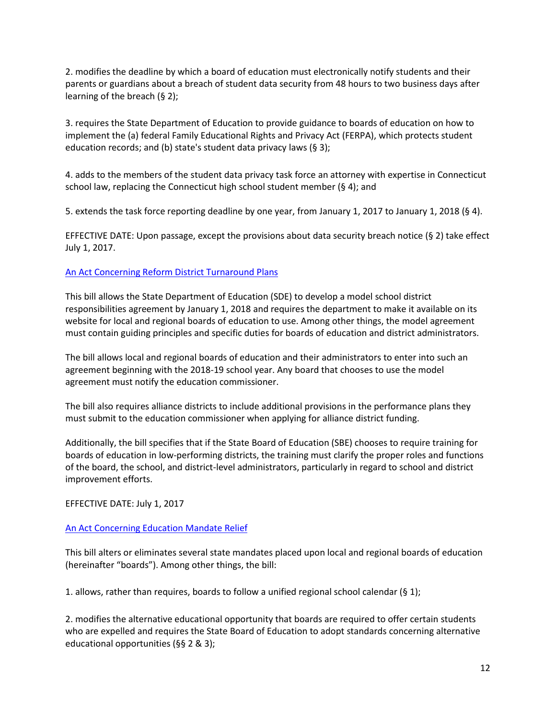2. modifies the deadline by which a board of education must electronically notify students and their parents or guardians about a breach of student data security from 48 hours to two business days after learning of the breach (§ 2);

3. requires the State Department of Education to provide guidance to boards of education on how to implement the (a) federal Family Educational Rights and Privacy Act (FERPA), which protects student education records; and (b) state's student data privacy laws (§ 3);

4. adds to the members of the student data privacy task force an attorney with expertise in Connecticut school law, replacing the Connecticut high school student member  $(§ 4)$ ; and

5. extends the task force reporting deadline by one year, from January 1, 2017 to January 1, 2018 (§ 4).

EFFECTIVE DATE: Upon passage, except the provisions about data security breach notice (§ 2) take effect July 1, 2017.

# <span id="page-11-0"></span>An [Act Concerning Reform District Turnaround Plans](https://www.cga.ct.gov/2017/ACT/pa/pdf/2017PA-00215-R00HB-07251-PA.pdf)

This bill allows the State Department of Education (SDE) to develop a model school district responsibilities agreement by January 1, 2018 and requires the department to make it available on its website for local and regional boards of education to use. Among other things, the model agreement must contain guiding principles and specific duties for boards of education and district administrators.

The bill allows local and regional boards of education and their administrators to enter into such an agreement beginning with the 2018-19 school year. Any board that chooses to use the model agreement must notify the education commissioner.

The bill also requires alliance districts to include additional provisions in the performance plans they must submit to the education commissioner when applying for alliance district funding.

Additionally, the bill specifies that if the State Board of Education (SBE) chooses to require training for boards of education in low-performing districts, the training must clarify the proper roles and functions of the board, the school, and district-level administrators, particularly in regard to school and district improvement efforts.

### EFFECTIVE DATE: July 1, 2017

# <span id="page-11-1"></span>[An Act Concerning Education Mandate Relief](https://www.cga.ct.gov/2017/ACT/pa/pdf/2017PA-00220-R00HB-07276-PA.pdf)

This bill alters or eliminates several state mandates placed upon local and regional boards of education (hereinafter "boards"). Among other things, the bill:

1. allows, rather than requires, boards to follow a unified regional school calendar (§ 1);

2. modifies the alternative educational opportunity that boards are required to offer certain students who are expelled and requires the State Board of Education to adopt standards concerning alternative educational opportunities (§§ 2 & 3);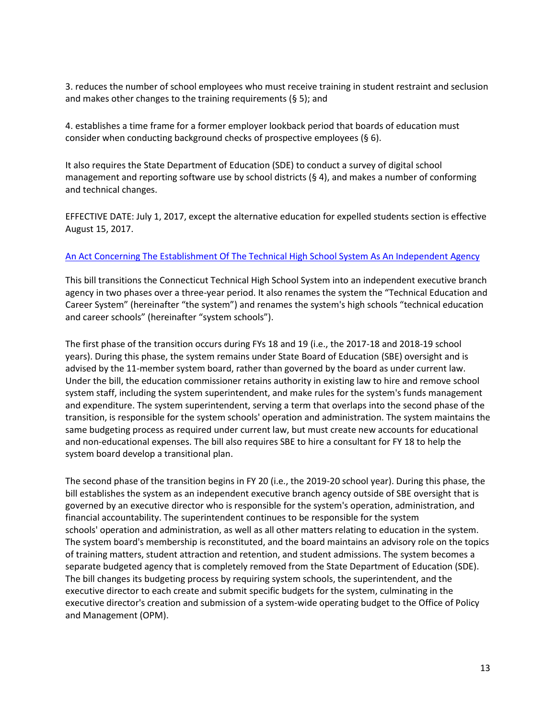3. reduces the number of school employees who must receive training in student restraint and seclusion and makes other changes to the training requirements (§ 5); and

4. establishes a time frame for a former employer lookback period that boards of education must consider when conducting background checks of prospective employees (§ 6).

It also requires the State Department of Education (SDE) to conduct a survey of digital school management and reporting software use by school districts (§ 4), and makes a number of conforming and technical changes.

EFFECTIVE DATE: July 1, 2017, except the alternative education for expelled students section is effective August 15, 2017.

# <span id="page-12-0"></span>[An Act Concerning The Establishment Of The Technical High School System As An Independent Agency](https://www.cga.ct.gov/2017/ACT/pa/pdf/2017PA-00237-R00HB-07271-PA.pdf)

This bill transitions the Connecticut Technical High School System into an independent executive branch agency in two phases over a three-year period. It also renames the system the "Technical Education and Career System" (hereinafter "the system") and renames the system's high schools "technical education and career schools" (hereinafter "system schools").

The first phase of the transition occurs during FYs 18 and 19 (i.e., the 2017-18 and 2018-19 school years). During this phase, the system remains under State Board of Education (SBE) oversight and is advised by the 11-member system board, rather than governed by the board as under current law. Under the bill, the education commissioner retains authority in existing law to hire and remove school system staff, including the system superintendent, and make rules for the system's funds management and expenditure. The system superintendent, serving a term that overlaps into the second phase of the transition, is responsible for the system schools' operation and administration. The system maintains the same budgeting process as required under current law, but must create new accounts for educational and non-educational expenses. The bill also requires SBE to hire a consultant for FY 18 to help the system board develop a transitional plan.

The second phase of the transition begins in FY 20 (i.e., the 2019-20 school year). During this phase, the bill establishes the system as an independent executive branch agency outside of SBE oversight that is governed by an executive director who is responsible for the system's operation, administration, and financial accountability. The superintendent continues to be responsible for the system schools' operation and administration, as well as all other matters relating to education in the system. The system board's membership is reconstituted, and the board maintains an advisory role on the topics of training matters, student attraction and retention, and student admissions. The system becomes a separate budgeted agency that is completely removed from the State Department of Education (SDE). The bill changes its budgeting process by requiring system schools, the superintendent, and the executive director to each create and submit specific budgets for the system, culminating in the executive director's creation and submission of a system-wide operating budget to the Office of Policy and Management (OPM).